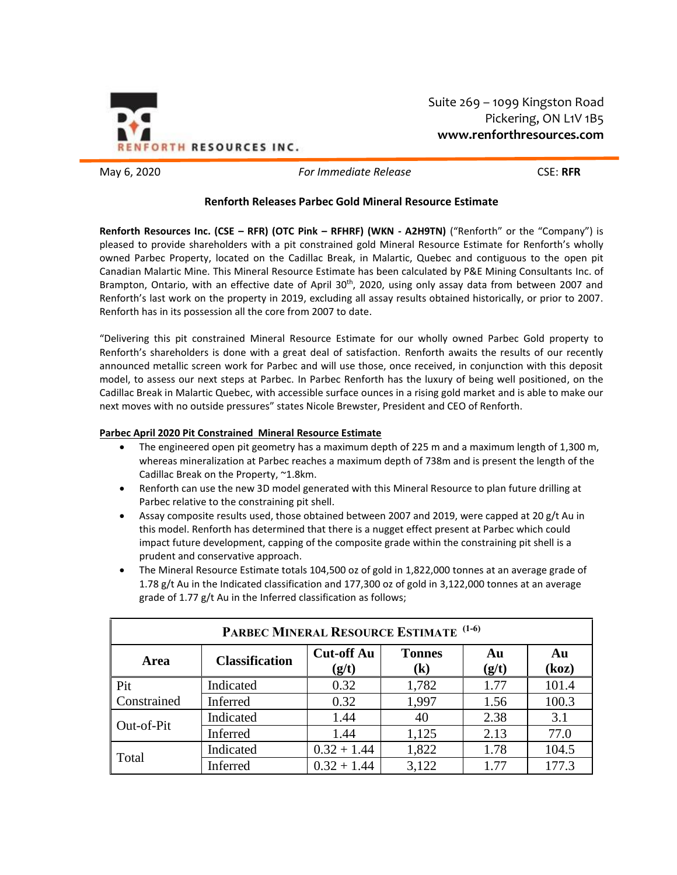

Suite 269 – 1099 Kingston Road Pickering, ON L1V 1B5 **www.renforthresources.com**

May 6, 2020 *For Immediate Release* CSE: **RFR**

# **Renforth Releases Parbec Gold Mineral Resource Estimate**

**Renforth Resources Inc. (CSE – RFR) (OTC Pink – RFHRF) (WKN - A2H9TN)** ("Renforth" or the "Company") is pleased to provide shareholders with a pit constrained gold Mineral Resource Estimate for Renforth's wholly owned Parbec Property, located on the Cadillac Break, in Malartic, Quebec and contiguous to the open pit Canadian Malartic Mine. This Mineral Resource Estimate has been calculated by P&E Mining Consultants Inc. of Brampton, Ontario, with an effective date of April 30<sup>th</sup>, 2020, using only assay data from between 2007 and Renforth's last work on the property in 2019, excluding all assay results obtained historically, or prior to 2007. Renforth has in its possession all the core from 2007 to date.

"Delivering this pit constrained Mineral Resource Estimate for our wholly owned Parbec Gold property to Renforth's shareholders is done with a great deal of satisfaction. Renforth awaits the results of our recently announced metallic screen work for Parbec and will use those, once received, in conjunction with this deposit model, to assess our next steps at Parbec. In Parbec Renforth has the luxury of being well positioned, on the Cadillac Break in Malartic Quebec, with accessible surface ounces in a rising gold market and is able to make our next moves with no outside pressures" states Nicole Brewster, President and CEO of Renforth.

## **Parbec April 2020 Pit Constrained Mineral Resource Estimate**

- The engineered open pit geometry has a maximum depth of 225 m and a maximum length of 1,300 m, whereas mineralization at Parbec reaches a maximum depth of 738m and is present the length of the Cadillac Break on the Property, ~1.8km.
- Renforth can use the new 3D model generated with this Mineral Resource to plan future drilling at Parbec relative to the constraining pit shell.
- Assay composite results used, those obtained between 2007 and 2019, were capped at 20  $g/t$  Au in this model. Renforth has determined that there is a nugget effect present at Parbec which could impact future development, capping of the composite grade within the constraining pit shell is a prudent and conservative approach.
- The Mineral Resource Estimate totals 104,500 oz of gold in 1,822,000 tonnes at an average grade of 1.78 g/t Au in the Indicated classification and 177,300 oz of gold in 3,122,000 tonnes at an average grade of 1.77 g/t Au in the Inferred classification as follows;

| <b>PARBEC MINERAL RESOURCE ESTIMATE (1-6)</b> |                       |                            |                      |             |             |
|-----------------------------------------------|-----------------------|----------------------------|----------------------|-------------|-------------|
| Area                                          | <b>Classification</b> | <b>Cut-off Au</b><br>(g/t) | <b>Tonnes</b><br>(k) | Au<br>(g/t) | Au<br>(koz) |
| Pit                                           | Indicated             | 0.32                       | 1,782                | 1.77        | 101.4       |
| Constrained                                   | Inferred              | 0.32                       | 1,997                | 1.56        | 100.3       |
| Out-of-Pit                                    | Indicated             | 1.44                       | 40                   | 2.38        | 3.1         |
|                                               | Inferred              | 1.44                       | 1,125                | 2.13        | 77.0        |
| Total                                         | Indicated             | $0.32 + 1.44$              | 1,822                | 1.78        | 104.5       |
|                                               | Inferred              | $0.32 + 1.44$              | 3,122                | 1.77        | 177.3       |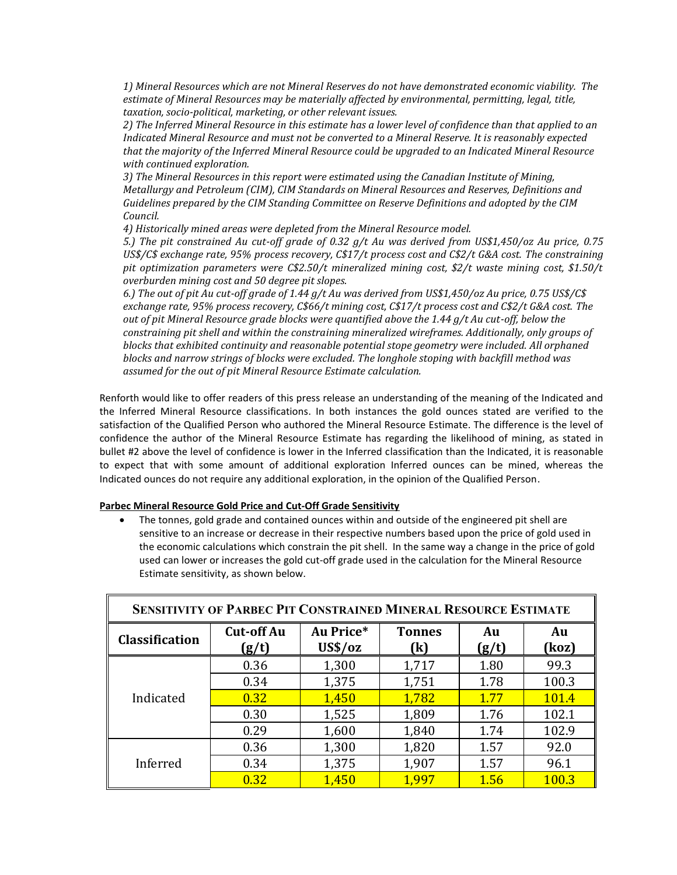*1) Mineral Resources which are not Mineral Reserves do not have demonstrated economic viability. The estimate of Mineral Resources may be materially affected by environmental, permitting, legal, title, taxation, socio-political, marketing, or other relevant issues.*

*2) The Inferred Mineral Resource in this estimate has a lower level of confidence than that applied to an Indicated Mineral Resource and must not be converted to a Mineral Reserve. It is reasonably expected that the majority of the Inferred Mineral Resource could be upgraded to an Indicated Mineral Resource with continued exploration.* 

*3) The Mineral Resources in this report were estimated using the Canadian Institute of Mining, Metallurgy and Petroleum (CIM), CIM Standards on Mineral Resources and Reserves, Definitions and Guidelines prepared by the CIM Standing Committee on Reserve Definitions and adopted by the CIM Council.*

*4) Historically mined areas were depleted from the Mineral Resource model.*

*5.) The pit constrained Au cut-off grade of 0.32 g/t Au was derived from US\$1,450/oz Au price, 0.75 US\$/C\$ exchange rate, 95% process recovery, C\$17/t process cost and C\$2/t G&A cost. The constraining pit optimization parameters were C\$2.50/t mineralized mining cost, \$2/t waste mining cost, \$1.50/t overburden mining cost and 50 degree pit slopes.*

*6.) The out of pit Au cut-off grade of 1.44 g/t Au was derived from US\$1,450/oz Au price, 0.75 US\$/C\$ exchange rate, 95% process recovery, C\$66/t mining cost, C\$17/t process cost and C\$2/t G&A cost. The out of pit Mineral Resource grade blocks were quantified above the 1.44 g/t Au cut-off, below the constraining pit shell and within the constraining mineralized wireframes. Additionally, only groups of blocks that exhibited continuity and reasonable potential stope geometry were included. All orphaned blocks and narrow strings of blocks were excluded. The longhole stoping with backfill method was assumed for the out of pit Mineral Resource Estimate calculation.*

Renforth would like to offer readers of this press release an understanding of the meaning of the Indicated and the Inferred Mineral Resource classifications. In both instances the gold ounces stated are verified to the satisfaction of the Qualified Person who authored the Mineral Resource Estimate. The difference is the level of confidence the author of the Mineral Resource Estimate has regarding the likelihood of mining, as stated in bullet #2 above the level of confidence is lower in the Inferred classification than the Indicated, it is reasonable to expect that with some amount of additional exploration Inferred ounces can be mined, whereas the Indicated ounces do not require any additional exploration, in the opinion of the Qualified Person.

### **Parbec Mineral Resource Gold Price and Cut-Off Grade Sensitivity**

• The tonnes, gold grade and contained ounces within and outside of the engineered pit shell are sensitive to an increase or decrease in their respective numbers based upon the price of gold used in the economic calculations which constrain the pit shell. In the same way a change in the price of gold used can lower or increases the gold cut-off grade used in the calculation for the Mineral Resource Estimate sensitivity, as shown below.

| <b>SENSITIVITY OF PARBEC PIT CONSTRAINED MINERAL RESOURCE ESTIMATE</b> |                            |                              |                           |             |             |
|------------------------------------------------------------------------|----------------------------|------------------------------|---------------------------|-------------|-------------|
| <b>Classification</b>                                                  | <b>Cut-off Au</b><br>(g/t) | Au Price*<br>$US\frac{5}{2}$ | <b>Tonnes</b><br>$\bf(k)$ | Au<br>(g/t) | Au<br>(koz) |
| Indicated                                                              | 0.36                       | 1,300                        | 1,717                     | 1.80        | 99.3        |
|                                                                        | 0.34                       | 1,375                        | 1,751                     | 1.78        | 100.3       |
|                                                                        | 0.32                       | 1,450                        | 1,782                     | 1.77        | 101.4       |
|                                                                        | 0.30                       | 1,525                        | 1,809                     | 1.76        | 102.1       |
|                                                                        | 0.29                       | 1,600                        | 1,840                     | 1.74        | 102.9       |
| Inferred                                                               | 0.36                       | 1,300                        | 1,820                     | 1.57        | 92.0        |
|                                                                        | 0.34                       | 1,375                        | 1,907                     | 1.57        | 96.1        |
|                                                                        | 0.32                       | 1,450                        | 1,997                     | 1.56        | 100.3       |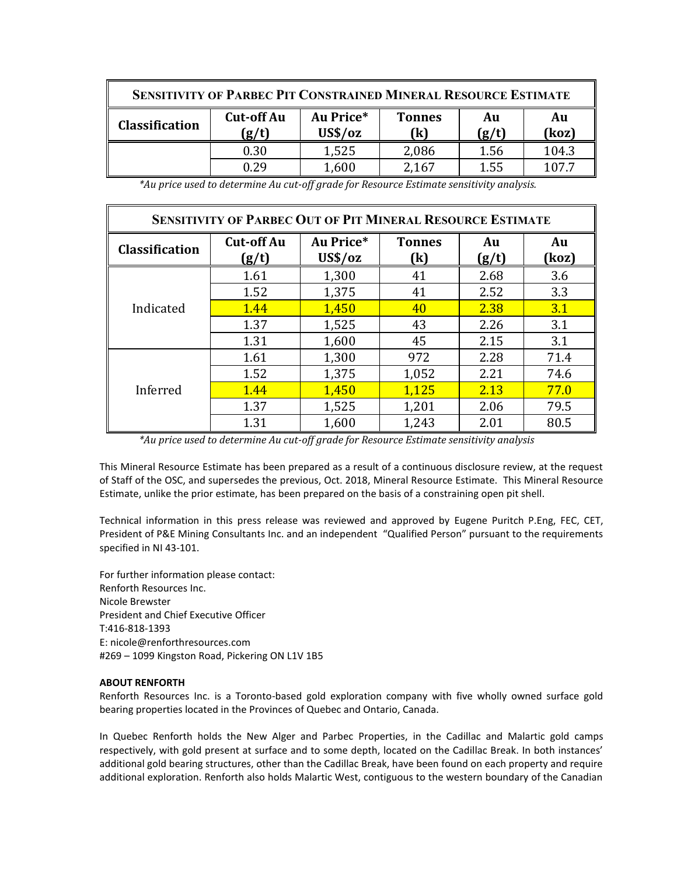| <b>SENSITIVITY OF PARBEC PIT CONSTRAINED MINERAL RESOURCE ESTIMATE</b> |                            |                      |                      |             |             |
|------------------------------------------------------------------------|----------------------------|----------------------|----------------------|-------------|-------------|
| <b>Classification</b>                                                  | <b>Cut-off Au</b><br>(g/t) | Au Price*<br>US\$/oz | <b>Tonnes</b><br>lk) | Au<br>(g/t) | Au<br>(koz) |
|                                                                        | 0.30                       | 1,525                | 2,086                | 1.56        | 104.3       |
|                                                                        | በ 29                       | 000 <sub>1</sub>     | 2,167                | 1.55        | 107.7       |

*\*Au price used to determine Au cut-off grade for Resource Estimate sensitivity analysis.*

| <b>SENSITIVITY OF PARBEC OUT OF PIT MINERAL RESOURCE ESTIMATE</b> |                            |                              |                           |             |             |
|-------------------------------------------------------------------|----------------------------|------------------------------|---------------------------|-------------|-------------|
| <b>Classification</b>                                             | <b>Cut-off Au</b><br>(g/t) | Au Price*<br>$US\frac{5}{2}$ | <b>Tonnes</b><br>$\bf(k)$ | Au<br>(g/t) | Au<br>(koz) |
| Indicated                                                         | 1.61                       | 1,300                        | 41                        | 2.68        | 3.6         |
|                                                                   | 1.52                       | 1,375                        | 41                        | 2.52        | 3.3         |
|                                                                   | 1.44                       | 1,450                        | 40                        | 2.38        | 3.1         |
|                                                                   | 1.37                       | 1,525                        | 43                        | 2.26        | 3.1         |
|                                                                   | 1.31                       | 1,600                        | 45                        | 2.15        | 3.1         |
| Inferred                                                          | 1.61                       | 1,300                        | 972                       | 2.28        | 71.4        |
|                                                                   | 1.52                       | 1,375                        | 1,052                     | 2.21        | 74.6        |
|                                                                   | 1.44                       | 1,450                        | 1,125                     | 2.13        | 77.0        |
|                                                                   | 1.37                       | 1,525                        | 1,201                     | 2.06        | 79.5        |
|                                                                   | 1.31                       | 1,600                        | 1,243                     | 2.01        | 80.5        |

*\*Au price used to determine Au cut-off grade for Resource Estimate sensitivity analysis*

This Mineral Resource Estimate has been prepared as a result of a continuous disclosure review, at the request of Staff of the OSC, and supersedes the previous, Oct. 2018, Mineral Resource Estimate. This Mineral Resource Estimate, unlike the prior estimate, has been prepared on the basis of a constraining open pit shell.

Technical information in this press release was reviewed and approved by Eugene Puritch P.Eng, FEC, CET, President of P&E Mining Consultants Inc. and an independent "Qualified Person" pursuant to the requirements specified in NI 43-101.

For further information please contact: Renforth Resources Inc. Nicole Brewster President and Chief Executive Officer T:416-818-1393 E: nicole@renforthresources.com #269 – 1099 Kingston Road, Pickering ON L1V 1B5

### **ABOUT RENFORTH**

Renforth Resources Inc. is a Toronto-based gold exploration company with five wholly owned surface gold bearing properties located in the Provinces of Quebec and Ontario, Canada.

In Quebec Renforth holds the New Alger and Parbec Properties, in the Cadillac and Malartic gold camps respectively, with gold present at surface and to some depth, located on the Cadillac Break. In both instances' additional gold bearing structures, other than the Cadillac Break, have been found on each property and require additional exploration. Renforth also holds Malartic West, contiguous to the western boundary of the Canadian